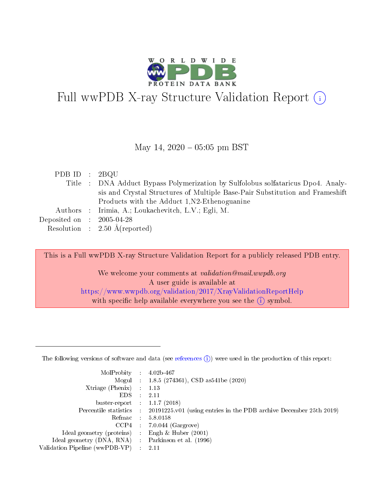

# Full wwPDB X-ray Structure Validation Report  $(i)$

#### May 14,  $2020 - 05:05$  pm BST

| PDB ID : $2BQU$             |                                                                                  |
|-----------------------------|----------------------------------------------------------------------------------|
|                             | Title : DNA Adduct Bypass Polymerization by Sulfolobus solfataricus Dpo4. Analy- |
|                             | sis and Crystal Structures of Multiple Base-Pair Substitution and Frameshift     |
|                             | Products with the Adduct 1.N2-Ethenoguanine                                      |
|                             | Authors : Irimia, A.; Loukachevitch, L.V.; Egli, M.                              |
| Deposited on : $2005-04-28$ |                                                                                  |
|                             | Resolution : $2.50 \text{ Å}$ (reported)                                         |

This is a Full wwPDB X-ray Structure Validation Report for a publicly released PDB entry.

We welcome your comments at validation@mail.wwpdb.org A user guide is available at <https://www.wwpdb.org/validation/2017/XrayValidationReportHelp> with specific help available everywhere you see the  $(i)$  symbol.

The following versions of software and data (see [references](https://www.wwpdb.org/validation/2017/XrayValidationReportHelp#references)  $(1)$ ) were used in the production of this report:

| MolProbity :                   |               | $4.02b - 467$                                                               |
|--------------------------------|---------------|-----------------------------------------------------------------------------|
|                                |               | Mogul : $1.8.5$ (274361), CSD as 541be (2020)                               |
| Xtriage (Phenix)               | $\mathcal{L}$ | 1.13                                                                        |
| EDS.                           |               | 2.11                                                                        |
| buster-report : $1.1.7$ (2018) |               |                                                                             |
| Percentile statistics :        |               | $20191225 \text{v}01$ (using entries in the PDB archive December 25th 2019) |
| Refmac :                       |               | 5.8.0158                                                                    |
| CCP4                           |               | $7.0.044$ (Gargrove)                                                        |
| Ideal geometry (proteins) :    |               | Engh & Huber $(2001)$                                                       |
| Ideal geometry (DNA, RNA) :    |               | Parkinson et al. (1996)                                                     |
| Validation Pipeline (wwPDB-VP) | $\mathcal{L}$ | 2.11                                                                        |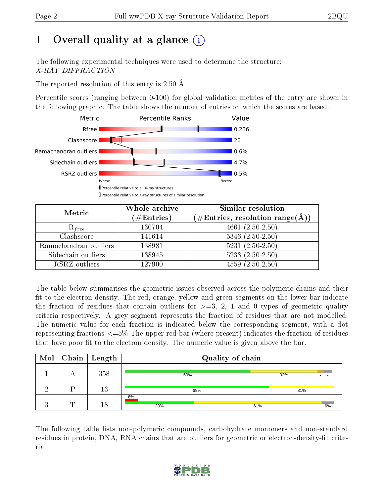# 1 [O](https://www.wwpdb.org/validation/2017/XrayValidationReportHelp#overall_quality)verall quality at a glance  $(i)$

The following experimental techniques were used to determine the structure: X-RAY DIFFRACTION

The reported resolution of this entry is 2.50 Å.

Percentile scores (ranging between 0-100) for global validation metrics of the entry are shown in the following graphic. The table shows the number of entries on which the scores are based.



| Metric                | Whole archive<br>$(\#\mathrm{Entries})$ | Similar resolution<br>$(\#\text{Entries},\,\text{resolution}\,\,\text{range}(\textup{\AA}))$ |
|-----------------------|-----------------------------------------|----------------------------------------------------------------------------------------------|
| $R_{free}$            | 130704                                  | $4661(2.50-2.50)$                                                                            |
| Clashscore            | 141614                                  | $5346$ $(2.50-2.50)$                                                                         |
| Ramachandran outliers | 138981                                  | $5231 (2.50 - 2.50)$                                                                         |
| Sidechain outliers    | 138945                                  | $5233(2.50-2.50)$                                                                            |
| RSRZ outliers         | 127900                                  | $4559(2.50-2.50)$                                                                            |

The table below summarises the geometric issues observed across the polymeric chains and their fit to the electron density. The red, orange, yellow and green segments on the lower bar indicate the fraction of residues that contain outliers for  $>=3, 2, 1$  and 0 types of geometric quality criteria respectively. A grey segment represents the fraction of residues that are not modelled. The numeric value for each fraction is indicated below the corresponding segment, with a dot representing fractions <=5% The upper red bar (where present) indicates the fraction of residues that have poor fit to the electron density. The numeric value is given above the bar.

| $\text{Mol}$ |   | $\vert$ Chain $\vert$ Length | Quality of chain |           |
|--------------|---|------------------------------|------------------|-----------|
|              |   | 358                          | 60%              | 32%       |
|              |   | 13                           | 69%              | 31%       |
|              | ┯ | 18                           | 6%<br>33%        | 6%<br>61% |

The following table lists non-polymeric compounds, carbohydrate monomers and non-standard residues in protein, DNA, RNA chains that are outliers for geometric or electron-density-fit criteria:

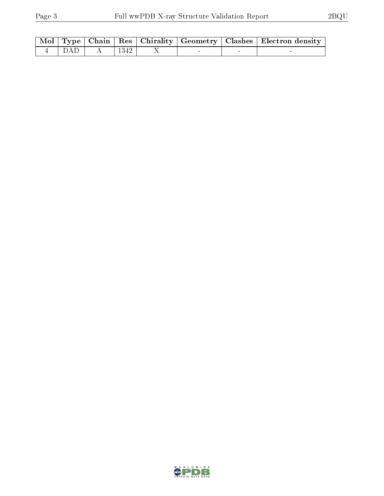|  |                                                                          |  |  | Mol   Type   Chain   Res   Chirality   Geometry   Clashes   Electron density |
|--|--------------------------------------------------------------------------|--|--|------------------------------------------------------------------------------|
|  | $\begin{array}{ c c c c c c c c } \hline 4 & DAD & A & 1342 \end{array}$ |  |  |                                                                              |

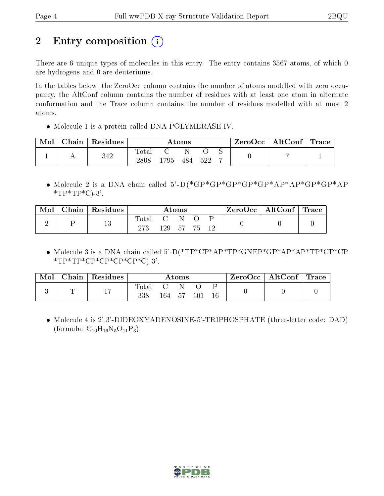# 2 Entry composition (i)

There are 6 unique types of molecules in this entry. The entry contains 3567 atoms, of which 0 are hydrogens and 0 are deuteriums.

In the tables below, the ZeroOcc column contains the number of atoms modelled with zero occupancy, the AltConf column contains the number of residues with at least one atom in alternate conformation and the Trace column contains the number of residues modelled with at most 2 atoms.

Molecule 1 is a protein called DNA POLYMERASE IV.

| Mol | Chain | Residues |                        |     | $\rm{Atoms}$ |     | $\text{ZeroOcc}$   AltConf   Trace |  |
|-----|-------|----------|------------------------|-----|--------------|-----|------------------------------------|--|
|     |       | 342      | $_{\rm Total}$<br>2808 | 795 | 484          | 522 |                                    |  |

 Molecule 2 is a DNA chain called 5'-D(\*GP\*GP\*GP\*GP\*GP\*AP\*AP\*GP\*GP\*AP  $*TP*TP*C$ -3'.

| Mol | Chain | $\vert$ Residues |       |                      | $\rm{Atoms}$ |     |  | $\text{ZeroOcc}$   AltConf   Trace |  |
|-----|-------|------------------|-------|----------------------|--------------|-----|--|------------------------------------|--|
|     |       | 19<br>ΤO         | Total | $\mathbf{C}$<br>129. | $-57$        | -75 |  |                                    |  |

 Molecule 3 is a DNA chain called 5'-D(\*TP\*CP\*AP\*TP\*GNEP\*GP\*AP\*AP\*TP\*CP\*CP  $*TP*TP*CP*CP*CP*CP*CP*C$ 

| Mol | Chain | $\perp$ Residues |              |     | $\rm{Atoms}$ |  | $\text{ZeroOcc} \mid \text{AltConf} \mid \text{Trace}$ |  |
|-----|-------|------------------|--------------|-----|--------------|--|--------------------------------------------------------|--|
|     |       | 17               | total<br>338 | 164 |              |  |                                                        |  |

 Molecule 4 is 2',3'-DIDEOXYADENOSINE-5'-TRIPHOSPHATE (three-letter code: DAD) (formula:  $C_{10}H_{16}N_5O_{11}P_3$ ).

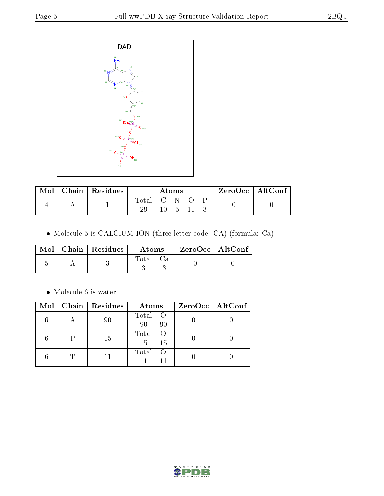

| Mol | $\mid$ Chain $\mid$ Residues |           | $\rm{Atoms}$ |  | $ZeroOcc \   \ AltConf \  $ |  |
|-----|------------------------------|-----------|--------------|--|-----------------------------|--|
|     |                              | Total C N |              |  |                             |  |
|     |                              |           |              |  |                             |  |

Molecule 5 is CALCIUM ION (three-letter code: CA) (formula: Ca).

|  | $\text{Mol}$   Chain   Residues | Atoms | ZeroOcc   AltConf |  |
|--|---------------------------------|-------|-------------------|--|
|  |                                 | Total |                   |  |

 $\bullet\,$  Molecule 6 is water.

|  | Mol   Chain   Residues | Atoms                          | $ZeroOcc \   \ AltConf \  $ |
|--|------------------------|--------------------------------|-----------------------------|
|  | 90                     | Total O<br>90<br>90            |                             |
|  | 15                     | Total<br>$\circ$ O<br>15<br>15 |                             |
|  |                        | Total<br>- ( )                 |                             |

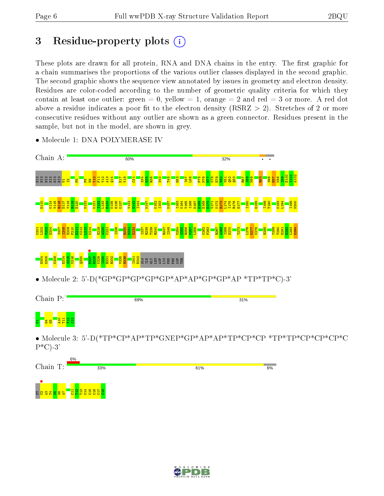D<br>D<mark>ecember 1984</mark><br>Dictate 1984

 $\Xi$  $\frac{21}{2}$  $\frac{13}{2}$  $\frac{4}{14}$  $\frac{25}{21}$  $\frac{8}{2}$ C17 C18

## 3 Residue-property plots  $(i)$

These plots are drawn for all protein, RNA and DNA chains in the entry. The first graphic for a chain summarises the proportions of the various outlier classes displayed in the second graphic. The second graphic shows the sequence view annotated by issues in geometry and electron density. Residues are color-coded according to the number of geometric quality criteria for which they contain at least one outlier: green  $= 0$ , yellow  $= 1$ , orange  $= 2$  and red  $= 3$  or more. A red dot above a residue indicates a poor fit to the electron density (RSRZ  $> 2$ ). Stretches of 2 or more consecutive residues without any outlier are shown as a green connector. Residues present in the sample, but not in the model, are shown in grey.



• Molecule 1: DNA POLYMERASE IV

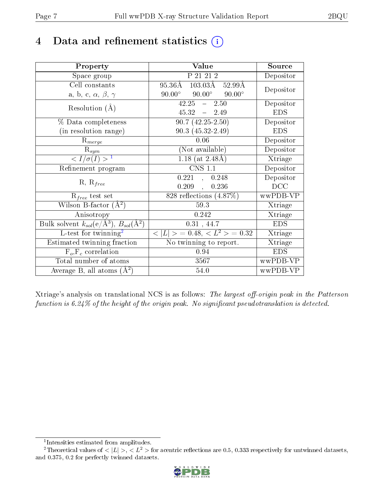## 4 Data and refinement statistics  $(i)$

| Property                                                                | Value                                              | Source     |
|-------------------------------------------------------------------------|----------------------------------------------------|------------|
| Space group                                                             | P 21 21 2                                          | Depositor  |
| Cell constants                                                          | $103.03\text{\AA}$ 52.99Å<br>$95.36\text{\AA}$     | Depositor  |
| a, b, c, $\alpha$ , $\beta$ , $\gamma$                                  | $90.00^{\circ}$<br>$90.00^{\circ}$ $90.00^{\circ}$ |            |
| Resolution $(A)$                                                        | $42.25 - 2.50$                                     | Depositor  |
|                                                                         | $45.32 = 2.49$                                     | <b>EDS</b> |
| % Data completeness                                                     | $90.7(42.25-2.50)$                                 | Depositor  |
| (in resolution range)                                                   | $90.3(45.32-2.49)$                                 | <b>EDS</b> |
| $R_{merge}$                                                             | 0.06                                               | Depositor  |
| $\mathrm{R}_{sym}$                                                      | (Not available)                                    | Depositor  |
| $\langle I/\sigma(I) \rangle^{-1}$                                      | 1.18 (at $2.48\text{\AA}$ )                        | Xtriage    |
| Refinement program                                                      | <b>CNS 1.1</b>                                     | Depositor  |
|                                                                         | 0.221, 0.248                                       | Depositor  |
| $R, R_{free}$                                                           | 0.209,<br>0.236                                    | DCC        |
| $\mathcal{R}_{free}$ test set                                           | 828 reflections $(4.87\%)$                         | wwPDB-VP   |
| Wilson B-factor $(A^2)$                                                 | 59.3                                               | Xtriage    |
| Anisotropy                                                              | 0.242                                              | Xtriage    |
| Bulk solvent $k_{sol}(\mathrm{e}/\mathrm{A}^3),\,B_{sol}(\mathrm{A}^2)$ | 0.31, 44.7                                         | <b>EDS</b> |
| L-test for twinning <sup>2</sup>                                        | $< L >$ = 0.48, $< L^2 >$ = 0.32                   | Xtriage    |
| Estimated twinning fraction                                             | No twinning to report.                             | Xtriage    |
| $F_o, F_c$ correlation                                                  | 0.94                                               | <b>EDS</b> |
| Total number of atoms                                                   | 3567                                               | wwPDB-VP   |
| Average B, all atoms $(A^2)$                                            | 54.0                                               | wwPDB-VP   |

Xtriage's analysis on translational NCS is as follows: The largest off-origin peak in the Patterson function is  $6.24\%$  of the height of the origin peak. No significant pseudotranslation is detected.

<sup>&</sup>lt;sup>2</sup>Theoretical values of  $\langle |L| \rangle$ ,  $\langle L^2 \rangle$  for acentric reflections are 0.5, 0.333 respectively for untwinned datasets, and 0.375, 0.2 for perfectly twinned datasets.



<span id="page-6-1"></span><span id="page-6-0"></span><sup>1</sup> Intensities estimated from amplitudes.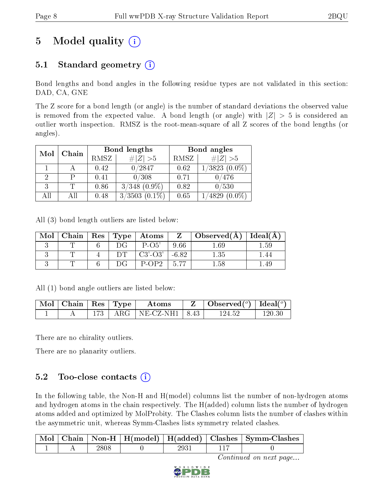# 5 Model quality  $(i)$

### 5.1 Standard geometry  $(i)$

Bond lengths and bond angles in the following residue types are not validated in this section: DAD, CA, GNE

The Z score for a bond length (or angle) is the number of standard deviations the observed value is removed from the expected value. A bond length (or angle) with  $|Z| > 5$  is considered an outlier worth inspection. RMSZ is the root-mean-square of all Z scores of the bond lengths (or angles).

| Mol | Chain |      | Bond lengths        | Bond angles |                    |
|-----|-------|------|---------------------|-------------|--------------------|
|     |       | RMSZ | # $ Z >5$           | RMSZ        | # $ Z >5$          |
|     |       | 0.42 | 0/2847              | 0.62        | $1/3823$ $(0.0\%)$ |
|     |       | 0.41 | 0/308               | 0.71        | 0/476              |
|     |       | 0.86 | $3/348$ $(0.9\%)$   | 0.82        | 0/530              |
| AH  |       | 0.48 | 3/3503<br>$[0.1\%]$ | 0.65        | 4829               |

All (3) bond length outliers are listed below:

| Mol |  | Chain   Res   Type   Atoms |         | $\mid$ Observed( $\AA$ ) $\mid$ Ideal( $\AA$ ) |          |
|-----|--|----------------------------|---------|------------------------------------------------|----------|
|     |  | $P-O5'$                    | 9.66    | .69                                            | $1.59\,$ |
|     |  | $C3'$ - $O3'$              | $-6.82$ | 1.35                                           |          |
|     |  | $P-OP2$                    | -5.77   | ನಿ                                             | l .49    |

All (1) bond angle outliers are listed below:

| $\vert$ Mol $\vert$ Chain $\vert$ Res $\vert$ Type $\vert$ |  | Atoms                          | $\vert$ Observed $(^\circ)$ $\vert$ Ideal $(^\circ)$ |        |
|------------------------------------------------------------|--|--------------------------------|------------------------------------------------------|--------|
|                                                            |  | $173$   ARG   NE-CZ-NH1   8.43 | 124.52                                               | 120 3C |

There are no chirality outliers.

There are no planarity outliers.

### $5.2$  Too-close contacts  $(i)$

In the following table, the Non-H and H(model) columns list the number of non-hydrogen atoms and hydrogen atoms in the chain respectively. The H(added) column lists the number of hydrogen atoms added and optimized by MolProbity. The Clashes column lists the number of clashes within the asymmetric unit, whereas Symm-Clashes lists symmetry related clashes.

|  |  |  | Chain   Non-H   H(model)   H(added)   Clashes   Symm-Clashes |
|--|--|--|--------------------------------------------------------------|
|  |  |  |                                                              |

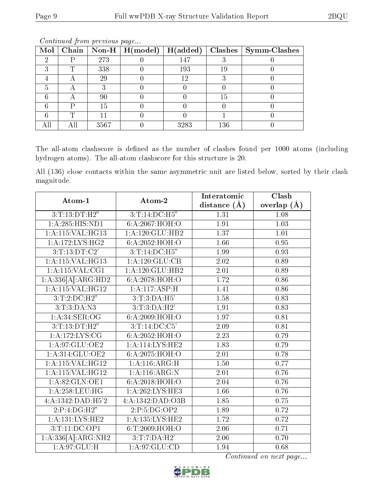| Mol |   |      | $\boxed{\text{Chain} \mid \text{Non-H} \mid \text{H}(\text{model})}$ | H(added) | Clashes | Symm-Clashes |
|-----|---|------|----------------------------------------------------------------------|----------|---------|--------------|
|     |   | 273  |                                                                      | 147      |         |              |
|     |   | 338  |                                                                      | 193      | 19      |              |
|     | Ħ | 29   |                                                                      | 12       |         |              |
|     |   |      |                                                                      |          |         |              |
|     |   | 90   |                                                                      |          | 15      |              |
|     |   | 15   |                                                                      |          |         |              |
|     |   |      |                                                                      |          |         |              |
|     |   | 3567 |                                                                      | 3283     | 136     |              |

Continued from previous page...

The all-atom clashscore is defined as the number of clashes found per 1000 atoms (including hydrogen atoms). The all-atom clashscore for this structure is 20.

All (136) close contacts within the same asymmetric unit are listed below, sorted by their clash magnitude.

| Atom-1                         | Atom-2            | Interatomic       | Clash         |
|--------------------------------|-------------------|-------------------|---------------|
|                                |                   | distance $(\AA)$  | overlap $(A)$ |
| 3: T: 13: DT:H2"               | 3:T:14:DC:H5"     | 1.31              | 1.08          |
| 1:A:285:HIS:ND1                | 6: A:2067: HOH:O  | 1.91              | 1.03          |
| 1:A:115:VAL:HG13               | 1:A:120:GLU:HB2   | 1.37              | 1.01          |
| 1:A:172:LYS:HG2                | 6:A:2052:HOH:O    | 1.66              | 0.95          |
| 3:T:13:DT:C2'                  | 3:T:14:DC:H5"     | 1.99              | 0.93          |
| 1:A:115:VAL:HG13               | 1:A:120:GLU:CB    | 2.02              | 0.89          |
| $1:$ A:115:VAL:CG1             | 1: A:120: GLU:HB2 | 2.01              | 0.89          |
| 1:A:336[A]:ARG:HD2             | 6:A:2078:HOH:O    | 1.72              | 0.86          |
| $1:$ A:115:VAL:HG12            | 1: A:117: ASP:H   | 1.41              | 0.86          |
| 3:T:2:D C:H2"                  | 3: T: 3:DA:H5'    | 1.58              | 0.83          |
| 3: T:3:DA:N3                   | 3: T: 3:DA:H2'    | 1.91              | 0.83          |
| 1: A:34: SER:OG                | 6: A:2009:HOH:O   | 1.97              | 0.81          |
| 3: T: 13: DT:H2"               | 3:T:14:DC:C5'     | 2.09              | 0.81          |
| 1: A:172: LYS: CG              | 6:A:2052:HOH:O    | $\overline{2.23}$ | 0.79          |
| 1:A:97:GLU:OE2                 | 1:A:114:LYS:HE2   | 1.83              | 0.79          |
| 1:A:314:GLU:OE2                | 6:A:2075:HOH:O    | 2.01              | 0.78          |
| 1:A:115:VAL:HG12               | 1: A:116: ARG:H   | 1.50              | 0.77          |
| 1:A:115:VAL:HG12               | 1:A:116:ARG:N     | 2.01              | 0.76          |
| 1: A:82: GLN:OE1               | 6:A:2018:HOH:O    | 2.04              | 0.76          |
| $1: A:258: \underline{LEU:HG}$ | 1:A:262:LYS:HE3   | 1.66              | $0.76\,$      |
| 4:A:1342:DAD:H5'2              | 4:A:1342:DAD:O3B  | 1.85              | 0.75          |
| 2:P:4:DG:H2"                   | 2:P:5:DG:OP2      | 1.89              | 0.72          |
| 1: A: 131: LYS: HE2            | 1:A:135:LYS:HE2   | 1.72              | 0.72          |
| 3:T:11:DC:OP1                  | 6:T:2009:HOH:O    | 2.06              | 0.71          |
| 1:A:336[A]:ARG:NH2             | 3:T:7:DA:H2'      | 2.06              | 0.70          |
| 1:A:97:GLU:H                   | 1: A:97: GLU:CD   | 1.94              | 0.68          |

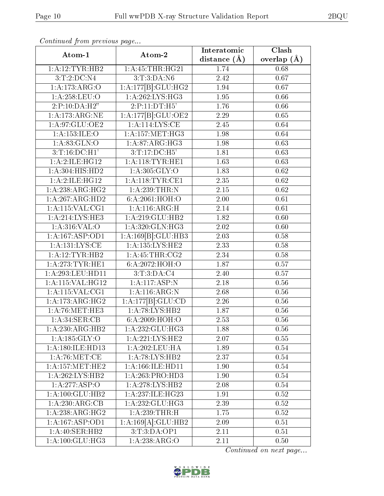| Continued from previous page |                      | Interatomic       | $\overline{\text{Clash}}$ |  |
|------------------------------|----------------------|-------------------|---------------------------|--|
| Atom-1                       | Atom-2               | distance $(\AA)$  | overlap $(A)$             |  |
| 1:A:12:TYR:HB2               | 1: A: 45: THR: HG21  | 1.74              | 0.68                      |  |
| 3:T:2:D <sub>C</sub> :N4     | 3:T:3:DA:N6          | 2.42              | 0.67                      |  |
| 1:A:173:ARG:O                | 1:A:177[B]:GLU:HG2   | 1.94              | 0.67                      |  |
| 1:A:258:LEU:O                | 1:A:262:LYS:HG3      | 1.95              | 0.66                      |  |
| 2:P:10:DA:H2"                | 2:P:11:DT:H5'        | 1.76              | 0.66                      |  |
| 1:A:173:ARG:NE               | 1:A:177[B]:GLU:OE2   | 2.29              | 0.65                      |  |
| 1:A:97:GLU:OE2               | 1: A:114: LYS: CE    | 2.45              | 0.64                      |  |
| 1: A: 153: ILE: O            | 1: A:157:MET:HG3     | 1.98              | 0.64                      |  |
| 1: A:83: GLN:O               | 1: A:87: ARG: HG3    | $\overline{1}.98$ | 0.63                      |  |
| $3:T:16:D$ C:H1'             | 3: T: 17: DC: H5'    | 1.81              | 0.63                      |  |
| 1: A:2: ILE: HG12            | 1: A:118: TYR: HE1   | 1.63              | 0.63                      |  |
| 1:A:304:HIS:HD2              | 1:A:305:GLY:O        | 1.83              | 0.62                      |  |
| $1:A:2:ILE:H\overline{G12}$  | 1: A:118: TYR: CE1   | 2.35              | 0.62                      |  |
| 1:A:238:ARG:HG2              | 1:A:239:THR:N        | $2.15\,$          | 0.62                      |  |
| 1:A:267:ARG:HD2              | 6:A:2061:HOH:O       | 2.00              | 0.61                      |  |
| 1: A: 115: VAL: CG1          | 1: A:116: ARG:H      | 2.14              | 0.61                      |  |
| 1: A:214:LYS:HE3             | 1:A:219:GLU:HB2      | 1.82              | 0.60                      |  |
| 1:A:316:VAL:O                | 1:A:320:GLN:HG3      | 2.02              | 0.60                      |  |
| 1:A:167:ASP:OD1              | 1:A:169[B]:GLU:HB3   | 2.03              | 0.58                      |  |
| 1: A: 131: LYS: CE           | 1:A:135:LYS:HE2      | 2.33              | 0.58                      |  |
| 1:A:12:TYR:HB2               | 1: A:45:THR:CG2      | 2.34              | 0.58                      |  |
| 1: A:273:TYR:HE1             | 6:A:2072:HOH:O       | 1.87              | 0.57                      |  |
| 1:A:293:LEU:HD11             | 3: T: 3: DA: C4      | 2.40              | 0.57                      |  |
| 1:A:115:VAL:HG12             | 1:A:117:ASP:N        | 2.18              | 0.56                      |  |
| 1:A:115:VAL:CG1              | 1:A:116:ARG:N        | 2.68              | 0.56                      |  |
| 1: A:173:ARG:HG2             | 1:A:177[B]:GLU:CD    | 2.26              | 0.56                      |  |
| 1: A:76:MET:HE3              | 1:A:78:LYS:HB2       | 1.87              | 0.56                      |  |
| 1:A:34:SER:CB                | 6:A:2009:HOH:O       | $\overline{2.53}$ | 0.56                      |  |
| 1:A:230:ARG:HB2              | 1:A:232:GLU:HG3      | 1.88              | 0.56                      |  |
| 1: A: 185: GLY: O            | 1:A:221:LYS:HE2      | 2.07              | 0.55                      |  |
| 1: A:180: ILE: HD13          | 1:A:202:LEU:HA       | 1.89              | 0.54                      |  |
| 1:A:76:MET:CE                | 1:A:78:LYS:HB2       | 2.37              | 0.54                      |  |
| $1:A:\overline{157:MET:HE2}$ | 1: A: 166: ILE: HD11 | 1.90              | 0.54                      |  |
| 1:A:262:LYS:HB2              | 1:A:263:PRO:HD3      | 1.90              | 0.54                      |  |
| 1:A:277:ASP:O                | 1:A:278:LYS:HB2      | 2.08              | 0.54                      |  |
| 1:A:100:GLU:HB2              | 1:A:237:ILE:HG23     | 1.91              | 0.52                      |  |
| 1:A:230:ARG:CB               | 1:A:232:GLU:HG3      | 2.39              | 0.52                      |  |
| 1:A:238:ARG:HG2              | 1: A:239:THR:H       | 1.75              | 0.52                      |  |
| 1: A: 167: ASP: OD1          | 1:A:169[A]:GLU:HB2   | 2.09              | 0.51                      |  |
| 1:A:40:SER:HB2               | 3:T:3:DA:OP1         | 2.11              | 0.51                      |  |
| 1:A:100:GLU:HG3              | 1:A:238:ARG:O        | 2.11              | 0.50                      |  |

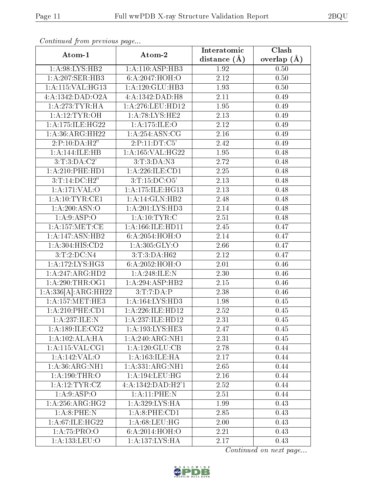| . <i>. .</i><br>Atom-1   | Atom-2              | Interatomic       | Clash         |
|--------------------------|---------------------|-------------------|---------------|
|                          |                     | distance $(A)$    | overlap $(A)$ |
| 1:A:98:LYS:HB2           | 1:A:110:ASP:HB3     | 1.92              | 0.50          |
| 1:A:207:SER:HB3          | 6:A:2047:HOH:O      | 2.12              | 0.50          |
| 1:A:115:VAL:HG13         | 1: A: 120: GLU: HB3 | 1.93              | 0.50          |
| 4:A:1342:DAD:O2A         | 4:A:1342:DAD:H8     | 2.11              | 0.49          |
| 1: A:273:TYR:HA          | 1:A:276:LEU:HD12    | 1.95              | 0.49          |
| 1:A:12:TYR:OH            | 1: A:78: LYS: HE2   | 2.13              | 0.49          |
| 1: A:175: ILE:HG22       | 1:A:175:ILE:O       | $\overline{2.12}$ | 0.49          |
| 1:A:36:ARG:HH22          | 1: A:254: ASN:CG    | 2.16              | 0.49          |
| 2:P:10:DA:H2"            | 2:P:11:DT:C5'       | 2.42              | 0.49          |
| 1:A:144:ILE:HB           | 1: A: 165: VAL:HG22 | 1.95              | 0.48          |
| 3:T:3:DA:C2'             | 3: T:3:DA:N3        | 2.72              | 0.48          |
| 1:A:210:PHE:HD1          | 1: A:226: ILE: CD1  | 2.25              | 0.48          |
| 3: T:14:DC:H2"           | 3: T: 15: DC: O5'   | 2.13              | 0.48          |
| $1:$ A:171:VAL:O         | 1: A:175: ILE:HG13  | 2.13              | 0.48          |
| 1: A:10:TYR:CE1          | 1:A:14:GLN:HB2      | 2.48              | 0.48          |
| 1:A:200:ASN:O            | 1:A:201:LYS:HD3     | 2.14              | 0.48          |
| 1: A:9: ASP:O            | 1: A: 10: TYR: C    | 2.51              | 0.48          |
| 1: A: 157: MET:CE        | 1:A:166:ILE:HD11    | 2.45              | 0.47          |
| 1:A:147:ASN:HB2          | 6:A:2054:HOH:O      | 2.14              | 0.47          |
| 1:A:304:HIS:CD2          | 1: A:305: GLY:O     | 2.66              | 0.47          |
| 3:T:2:DC:N4              | 3:T:3:DA:H62        | 2.12              | 0.47          |
| 1:A:172:LYS:HG3          | 6:A:2052:HOH:O      | 2.01              | 0.46          |
| 1:A:247:ARG:HD2          | 1: A:248: ILE:N     | 2.30              | 0.46          |
| 1: A:290:THR:OG1         | 1:A:294:ASP:HB2     | 2.15              | 0.46          |
| 1:A:336[A]:ARG:HH22      | 3: T: 7:DA:P        | 2.38              | 0.46          |
| 1: A: 157: MET: HE3      | 1: A: 164: LYS: HD3 | 1.98              | 0.45          |
| $1: A:210:$ PHE:CD1      | 1:A:226:ILE:HD12    | 2.52              | 0.45          |
| 1: A:237: ILE:N          | 1:A:237:ILE:HD12    | 2.31              | 0.45          |
| 1: A: 189: ILE: CG2      | 1: A: 193: LYS: HE3 | 2.47              | 0.45          |
| 1:A:102:ALA:HA           | 1:A:240:ARG:NH1     | 2.31              | 0.45          |
| $1:$ A:115:VAL:CG1       | 1:A:120:GLU:CB      | 2.78              | 0.44          |
| 1:A:142:VAL:O            | 1:A:163:ILE:HA      | 2.17              | 0.44          |
| 1: A:36: ARG: NH1        | 1:A:331:ARG:NH1     | 2.65              | 0.44          |
| 1:A:190:THR:O            | 1:A:194:LEU:HG      | 2.16              | 0.44          |
| 1: A:12:TYR: CZ          | 4:A:1342:DAD:H2'1   | 2.52              | 0.44          |
| 1: A:9: ASP:O            | 1:A:11:PHE:N        | 2.51              | 0.44          |
| 1: A:256: ARG:HG2        | 1: A:329: LYS: HA   | 1.99              | 0.43          |
| $1:A:8:\overline{PHE:N}$ | 1:A:8:PHE:CD1       | 2.85              | 0.43          |
| 1:A:67:ILE:HG22          | 1: A:68:LEU:HG      | 2.00              | 0.43          |
| 1:A:75:PRO:O             | 6:A:2014:HOH:O      | 2.21              | 0.43          |
| 1:A:133:LEU:O            | 1:A:137:LYS:HA      | 2.17              | 0.43          |

Continued from previous page...

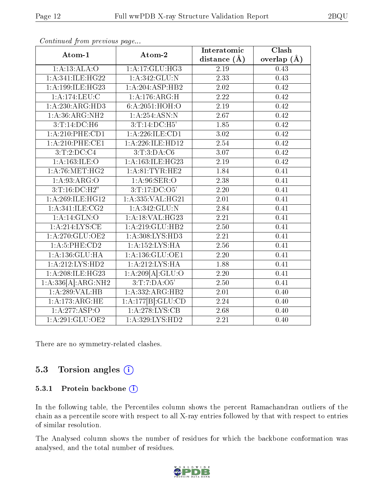| Atom-1              | Atom-2                         | Interatomic       | Clash             |
|---------------------|--------------------------------|-------------------|-------------------|
|                     |                                | distance $(A)$    | overlap $(\AA)$   |
| 1:A:13:ALA:O        | 1: A:17: GLU:HG3               | 2.19              | 0.43              |
| 1:A:341:IE:HG22     | 1: A:342: GLU:N                | 2.33              | 0.43              |
| 1:A:199:ILE:HG23    | 1:A:204:ASP:HB2                | 2.02              | 0.42              |
| 1:A:174:LEU:C       | 1: A:176:ARG:H                 | 2.22              | 0.42              |
| 1:A:230:ARG:HD3     | 6:A:2051:HOH:O                 | 2.19              | 0.42              |
| 1:A:36:ARG:NH2      | 1: A:254: ASN: N               | 2.67              | 0.42              |
| $3:T:14:D$ $C:H6$   | 3: T: 14: DC: H5'              | 1.85              | 0.42              |
| $1: A:210:$ PHE:CD1 | 1:A:226:ILE:CD1                | 3.02              | 0.42              |
| $1:$ A:210:PHE:CE1  | 1:A:226:ILE:HD12               | 2.54              | $\overline{0.42}$ |
| 3:T:2:DC:C4         | 3: T: 3: DA: C6                | 3.07              | 0.42              |
| 1:A:163:ILE:O       | 1:A:163:ILE:HG23               | 2.19              | 0.42              |
| 1: A:76:MET:HG2     | 1: A:81:TYR:HE2                | 1.84              | 0.41              |
| 1:A:93:ARG:O        | 1: A:96: SER:O                 | 2.38              | 0.41              |
| 3: T: 16: D C:H2"   | 3:T:17:DC:O5'                  | 2.20              | 0.41              |
| 1:A:269:ILE:HG12    | 1:A:335:VAL:HG21               | 2.01              | 0.41              |
| 1:A:341:ILE:CG2     | 1:A:342:GLU:N                  | 2.84              | 0.41              |
| 1: A:14: GLN:O      | 1:A:18:VAL:HG23                | 2.21              | 0.41              |
| 1: A:214:LYS:CE     | 1: A:219: GLU: HB2             | 2.50              | 0.41              |
| 1:A:270:GLU:OE2     | 1: A:308: LYS: HD3             | 2.21              | 0.41              |
| 1:A:5:PHE:CD2       | 1:A:152:LYS:HA                 | 2.56              | 0.41              |
| 1: A: 136: GLU: HA  | 1: A: 136: GLU: OE1            | $\overline{2.20}$ | 0.41              |
| 1:A:212:LYS:HD2     | 1:A:212:LYS:HA                 | 1.88              | 0.41              |
| 1:A:208:ILE:HG23    | 1:A:209[A]:GLU:O               | 2.20              | 0.41              |
| 1:A:336[A]:ARG:NH2  | 3:T:7:DA:O5'                   | 2.50              | 0.41              |
| 1:A:289:VAL:HB      | 1:A:332:ARG:HB2                | 2.01              | 0.40              |
| 1:A:173:ARG:HE      | $1:\overline{A:177[B]:GLU:CD}$ | 2.24              | 0.40              |
| 1:A:277:ASP:O       | 1:A:278:LYS:CB                 | 2.68              | 0.40              |
| 1:A:291:GLU:OE2     | 1:A:329:LYS:HD2                | 2.21              | 0.40              |

Continued from previous page...

There are no symmetry-related clashes.

#### 5.3 Torsion angles  $(i)$

#### 5.3.1 Protein backbone (i)

In the following table, the Percentiles column shows the percent Ramachandran outliers of the chain as a percentile score with respect to all X-ray entries followed by that with respect to entries of similar resolution.

The Analysed column shows the number of residues for which the backbone conformation was analysed, and the total number of residues.

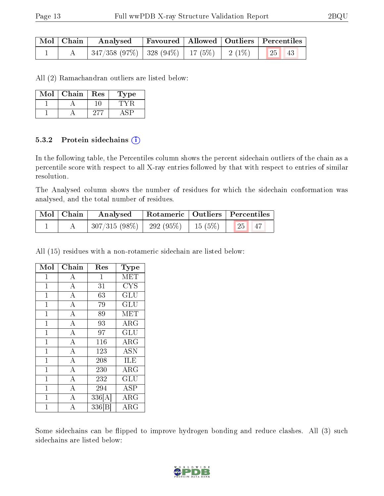| $\mid$ Mol $\mid$ Chain $\mid$ | Analysed   Favoured   Allowed   Outliers   Percentiles |  |  |  |
|--------------------------------|--------------------------------------------------------|--|--|--|
|                                | 347/358 (97%)   328 (94%)   17 (5%)   2 (1%)   25   43 |  |  |  |

All (2) Ramachandran outliers are listed below:

| Mol | Chain | <b>Res</b> | Type |
|-----|-------|------------|------|
|     |       |            |      |
|     |       |            |      |

#### 5.3.2 Protein sidechains (i)

In the following table, the Percentiles column shows the percent sidechain outliers of the chain as a percentile score with respect to all X-ray entries followed by that with respect to entries of similar resolution.

The Analysed column shows the number of residues for which the sidechain conformation was analysed, and the total number of residues.

| Mol   Chain | Analysed                               |  | $^\top$ Rotameric   Outliers   Percentiles |  |
|-------------|----------------------------------------|--|--------------------------------------------|--|
|             | $307/315(98\%)$   292 (95\%)   15(5\%) |  | 25 <br> 47                                 |  |

All (15) residues with a non-rotameric sidechain are listed below:

| Mol            | Chain              | Res          | Type                 |
|----------------|--------------------|--------------|----------------------|
| $\mathbf{1}$   | $\boldsymbol{A}$   | $\mathbf{1}$ | MET                  |
| $\mathbf{1}$   | $\overline{A}$     | 31           | <b>CYS</b>           |
| $\mathbf{1}$   | $\overline{\rm A}$ | 63           | GLU                  |
| $\mathbf{1}$   | $\overline{\rm A}$ | 79           | GLU                  |
| $\mathbf{1}$   | $\overline{\rm A}$ | 89           | MET                  |
| $\mathbf{1}$   | $\overline{\rm A}$ | 93           | $\rm{ARG}$           |
| $\mathbf{1}$   | $\bf{A}$           | 97           | GLU                  |
| $\mathbf 1$    | $\overline{A}$     | 116          | ARG                  |
| $\mathbf{1}$   | $\overline{\rm A}$ | 123          | <b>ASN</b>           |
| $\mathbf{1}$   | $\boldsymbol{A}$   | 208          | ILE                  |
| $\overline{1}$ | $\overline{\rm A}$ | 230          | $\rm{ARG}$           |
| $\overline{1}$ | $\overline{\rm A}$ | 232          | $\operatorname{GLU}$ |
| $\mathbf{1}$   | $\boldsymbol{A}$   | 294          | ASP                  |
| $\mathbf{1}$   | $\overline{A}$     | 336[A]       | $\rm{ARG}$           |
| 1              | $\overline{\rm A}$ | 336 [B       | $\rm\overline{A}RG$  |

Some sidechains can be flipped to improve hydrogen bonding and reduce clashes. All (3) such sidechains are listed below:

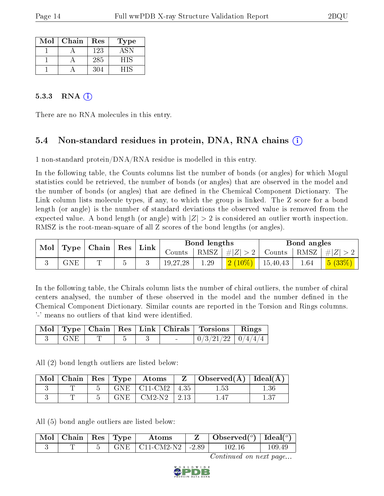| Mol | Chain | Res | Type |
|-----|-------|-----|------|
|     |       | 123 |      |
|     |       | 285 | HIS  |
|     |       | 304 | FIS  |

#### $5.3.3$  RNA  $(i)$

There are no RNA molecules in this entry.

### 5.4 Non-standard residues in protein, DNA, RNA chains (i)

1 non-standard protein/DNA/RNA residue is modelled in this entry.

In the following table, the Counts columns list the number of bonds (or angles) for which Mogul statistics could be retrieved, the number of bonds (or angles) that are observed in the model and the number of bonds (or angles) that are defined in the Chemical Component Dictionary. The Link column lists molecule types, if any, to which the group is linked. The Z score for a bond length (or angle) is the number of standard deviations the observed value is removed from the expected value. A bond length (or angle) with  $|Z| > 2$  is considered an outlier worth inspection. RMSZ is the root-mean-square of all Z scores of the bond lengths (or angles).

| $\parallel$ Mol $\parallel$ Type $\parallel$ Chain $\parallel$ Res $\parallel$ Link $\parallel$ |             |                       |          | Bond lengths |                                       |                                                         | Bond angles |                                 |
|-------------------------------------------------------------------------------------------------|-------------|-----------------------|----------|--------------|---------------------------------------|---------------------------------------------------------|-------------|---------------------------------|
|                                                                                                 |             |                       | Counts   |              | $\mid$ RMSZ $\mid \#Z\mid$ > 2 $\mid$ |                                                         |             | Counts   RMSZ $\mid \#  Z  > 2$ |
|                                                                                                 | ${\rm GNE}$ | $\tilde{\phantom{a}}$ | 19,27,28 | 1.29         |                                       | $\left  \frac{2 \ (10\%)}{2 \ (10\%)} \right $ 15,40,43 | 1.64        | 5(33%)                          |

In the following table, the Chirals column lists the number of chiral outliers, the number of chiral centers analysed, the number of these observed in the model and the number defined in the Chemical Component Dictionary. Similar counts are reported in the Torsion and Rings columns. '-' means no outliers of that kind were identified.

|             |  |  | Mol   Type   Chain   Res   Link   Chirals   Torsions   Rings |  |
|-------------|--|--|--------------------------------------------------------------|--|
| $\perp$ GNE |  |  | $\mid 0/3/21/22 \mid 0/4/4/4 \mid$                           |  |

All (2) bond length outliers are listed below:

| Mol | Chain   Res   Type |      | Atoms             |      | $Observed(\AA)$ | Ideal(A) |
|-----|--------------------|------|-------------------|------|-----------------|----------|
|     |                    |      | $GNE$   $C11-CM2$ | 4.35 | l.53            |          |
|     |                    | GNE. | $CM2-N2$          |      |                 |          |

All (5) bond angle outliers are listed below:

| $\sim$ Mol | Chain | $\vert$ Res $\vert$ Type | Atoms      |         | Observed $(^\circ)$ | Ideal( $^o$ ) |
|------------|-------|--------------------------|------------|---------|---------------------|---------------|
|            |       |                          | C11-CM2-N2 | $-2.89$ |                     | 109.49        |

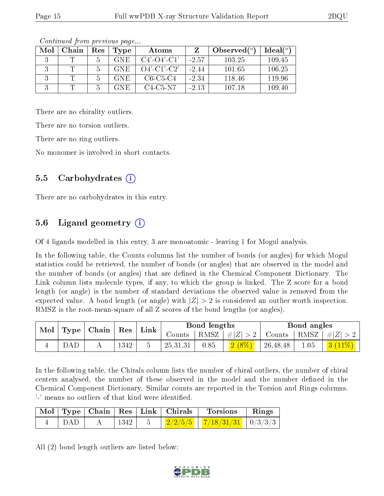| Mol | Chain | $\operatorname{Res}% \left( \mathcal{N}\right) \equiv\operatorname{Res}(\mathcal{N}_{0})\cap\mathcal{N}_{1}$ | Type       | Atoms                 |         | Observed $(°)$ | Ideal(°) |
|-----|-------|--------------------------------------------------------------------------------------------------------------|------------|-----------------------|---------|----------------|----------|
|     |       |                                                                                                              | <b>GNE</b> | $C4'$ - $O4'$ - $C1'$ | $-2.57$ | 103.25         | 109.45   |
|     |       |                                                                                                              | <b>GNE</b> | $O4'$ -C1'-C2'        | $-2.44$ | 101.65         | 106.25   |
|     |       |                                                                                                              | <b>GNE</b> | $C6-C5-C4$            | $-2.34$ | 118.46         | 119.96   |
|     |       |                                                                                                              | GNE.       | C4-C5-N7              | $-2.13$ | 107.18         | 109.40   |

Continued from previous page...

There are no chirality outliers.

There are no torsion outliers.

There are no ring outliers.

No monomer is involved in short contacts.

### 5.5 Carbohydrates (i)

There are no carbohydrates in this entry.

### 5.6 Ligand geometry (i)

Of 4 ligands modelled in this entry, 3 are monoatomic - leaving 1 for Mogul analysis.

In the following table, the Counts columns list the number of bonds (or angles) for which Mogul statistics could be retrieved, the number of bonds (or angles) that are observed in the model and the number of bonds (or angles) that are defined in the Chemical Component Dictionary. The Link column lists molecule types, if any, to which the group is linked. The Z score for a bond length (or angle) is the number of standard deviations the observed value is removed from the expected value. A bond length (or angle) with  $|Z| > 2$  is considered an outlier worth inspection. RMSZ is the root-mean-square of all Z scores of the bond lengths (or angles).

| Mol<br>$\mid$ Type $\mid$ Chain $\mid$ |  | $\vert$ Res |      | ${\rm Link}$ |          | Bond lengths |                       | Bond angles |            |           |
|----------------------------------------|--|-------------|------|--------------|----------|--------------|-----------------------|-------------|------------|-----------|
|                                        |  |             |      | Counts       | RMSZ     | $+  Z  > 2$  | Counts   RMSZ $\vert$ |             | $ #Z  > 2$ |           |
|                                        |  |             | 1342 |              | 25,31,31 | 0.85         | $2(8\%)$              | 26, 48, 48  | 1.05       | $3(11\%)$ |

In the following table, the Chirals column lists the number of chiral outliers, the number of chiral centers analysed, the number of these observed in the model and the number defined in the Chemical Component Dictionary. Similar counts are reported in the Torsion and Rings columns. '-' means no outliers of that kind were identified.

|             |      | Mol   Type   Chain   Res   Link   Chirals | Torsions                                                                                     | $\parallel$ Rings |
|-------------|------|-------------------------------------------|----------------------------------------------------------------------------------------------|-------------------|
| $\perp$ DAD | 1342 |                                           | $\frac{2}{2}\frac{2}{5}\frac{5}{5}$   $\frac{7}{18}\frac{31}{31}$   $\frac{0}{3}\frac{3}{3}$ |                   |

All (2) bond length outliers are listed below:

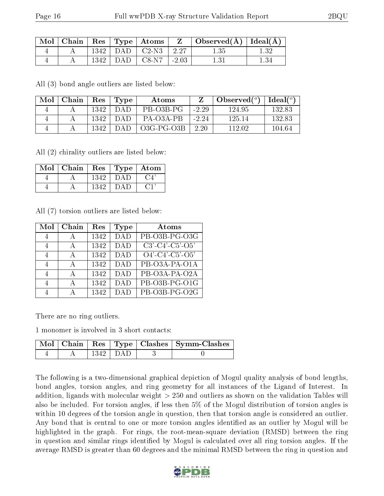| $\lq$ Mol $\lq$ |      | $\mid$ Chain $\mid$ Res $\mid$ Type $\mid$ Atoms $\mid$ | $\mathbf{Z}$ | $\perp$ Observed( $\AA$ )   Ideal( $\overline{A}$ ) |  |
|-----------------|------|---------------------------------------------------------|--------------|-----------------------------------------------------|--|
|                 | 1342 | $DAD$   $C2-N3$                                         | $-2.27$      |                                                     |  |
|                 | 1342 | $DAD$ $C8-N7$                                           | $-2.03$      |                                                     |  |

All (3) bond angle outliers are listed below:

| Mol | Chain | Res  | Type | Atoms        |         | $_{\shortmid}$ Observed( $^o$ ) | $\text{Ideal}(\textsuperscript{o})$ |
|-----|-------|------|------|--------------|---------|---------------------------------|-------------------------------------|
|     |       | 1342 | DAD. | PB-03B-PG    | $-2.29$ | 124.95                          | 132.83                              |
|     |       | 1342 | DAD. | PA-03A-PB    | $-2.24$ | 125 14                          | 132.83                              |
|     |       | 1342 | DA D | $O3G-PG-O3B$ | 2.20    | 112.02                          | 104.64                              |

All (2) chirality outliers are listed below:

| $Mol$   Chain | Res   Type   Atom |     |        |
|---------------|-------------------|-----|--------|
|               | 1342              | DAD | ( '.4' |
|               | 1342              | DAD |        |

All (7) torsion outliers are listed below:

| Mol | Chain        | Res  | Type       | Atoms                         |
|-----|--------------|------|------------|-------------------------------|
| 4   | А            | 1342 | <b>DAD</b> | PB-O3B-PG-O3G                 |
| 4   | А            | 1342 | <b>DAD</b> | $C3'$ - $C4'$ - $C5'$ - $O5'$ |
| 4   | $\mathsf{A}$ | 1342 | <b>DAD</b> | $O4'$ -C4'-C5'-O5'            |
| 4   | А            | 1342 | <b>DAD</b> | PB-O3A-PA-O1A                 |
| 4   | $\mathbf{A}$ | 1342 | DAD        | PB-O3A-PA-O2A                 |
|     | А            | 1342 | DAD        | PB-O3B-PG-O1G                 |
|     |              | 1342 | DAT        | PB-O3B-PG-O2G                 |

There are no ring outliers.

1 monomer is involved in 3 short contacts:

|  |            | Mol   Chain   Res   Type   Clashes   Symm-Clashes |
|--|------------|---------------------------------------------------|
|  | 1342   DAD |                                                   |

The following is a two-dimensional graphical depiction of Mogul quality analysis of bond lengths, bond angles, torsion angles, and ring geometry for all instances of the Ligand of Interest. In addition, ligands with molecular weight > 250 and outliers as shown on the validation Tables will also be included. For torsion angles, if less then 5% of the Mogul distribution of torsion angles is within 10 degrees of the torsion angle in question, then that torsion angle is considered an outlier. Any bond that is central to one or more torsion angles identified as an outlier by Mogul will be highlighted in the graph. For rings, the root-mean-square deviation (RMSD) between the ring in question and similar rings identified by Mogul is calculated over all ring torsion angles. If the average RMSD is greater than 60 degrees and the minimal RMSD between the ring in question and

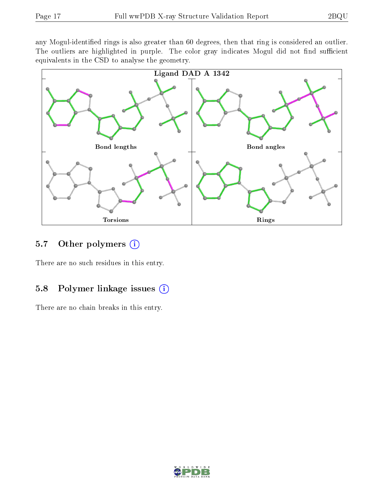any Mogul-identified rings is also greater than 60 degrees, then that ring is considered an outlier. The outliers are highlighted in purple. The color gray indicates Mogul did not find sufficient equivalents in the CSD to analyse the geometry.



#### 5.7 [O](https://www.wwpdb.org/validation/2017/XrayValidationReportHelp#nonstandard_residues_and_ligands)ther polymers (i)

There are no such residues in this entry.

### 5.8 Polymer linkage issues (i)

There are no chain breaks in this entry.

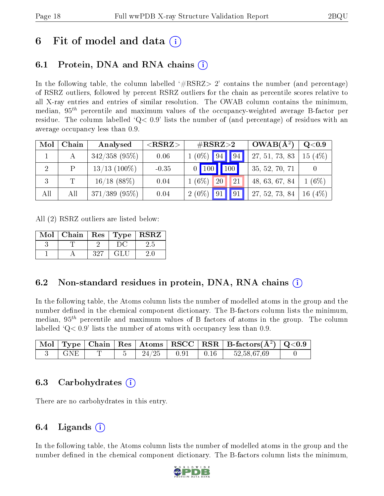## 6 Fit of model and data  $\left( \cdot \right)$

### 6.1 Protein, DNA and RNA chains (i)

In the following table, the column labelled  $#RSRZ>2'$  contains the number (and percentage) of RSRZ outliers, followed by percent RSRZ outliers for the chain as percentile scores relative to all X-ray entries and entries of similar resolution. The OWAB column contains the minimum, median,  $95<sup>th</sup>$  percentile and maximum values of the occupancy-weighted average B-factor per residue. The column labelled  $Q< 0.9$  lists the number of (and percentage) of residues with an average occupancy less than 0.9.

| Mol            | Chain | Analysed        | ${ <\hspace{-1.5pt}{\mathrm{RSRZ}} \hspace{-1.5pt}>}$ | $\#\text{RSRZ}{>}2$          | $OWAB(A^2)$    | Q <sub>0.9</sub> |
|----------------|-------|-----------------|-------------------------------------------------------|------------------------------|----------------|------------------|
|                |       | $342/358$ (95%) | 0.06                                                  | $(0\%)$ 94<br>$\vert$ 94     | 27, 51, 73, 83 | (4%<br>15        |
| $\overline{2}$ | P     | $13/13$ (100\%) | $-0.35$                                               | $\mid$ 100 $\mid$ 100 $\mid$ | 35, 52, 70, 71 |                  |
| 3              | T     | $16/18$ (88%)   | 0.04                                                  | $1(6\%)$<br>21<br>20         | 48, 63, 67, 84 | $(6\%)$          |
| All            | All   | $371/389$ (95%) | 0.04                                                  | $2(0\%)$<br> 91 <br>91       | 27, 52, 73, 84 | (4%)<br>16       |

All (2) RSRZ outliers are listed below:

| Mol   Chain   Res   Type   RSRZ |     |     |       |
|---------------------------------|-----|-----|-------|
|                                 |     |     |       |
|                                 | 327 | GLU | $20-$ |

#### 6.2 Non-standard residues in protein, DNA, RNA chains (i)

In the following table, the Atoms column lists the number of modelled atoms in the group and the number defined in the chemical component dictionary. The B-factors column lists the minimum, median,  $95<sup>th</sup>$  percentile and maximum values of B factors of atoms in the group. The column labelled  $Q < 0.9$ ' lists the number of atoms with occupancy less than 0.9.

|     |  |                       | $\mid$ Mol $\mid$ Type $\mid$ Chain $\mid$ Res $\mid$ Atoms $\mid$ RSCC $\mid$ RSR $\mid$ B-factors(A <sup>2</sup> ) $\mid$ Q<0.9 |  |
|-----|--|-----------------------|-----------------------------------------------------------------------------------------------------------------------------------|--|
| GNE |  | $24/25$   0.91   0.16 | 52,58,67,69                                                                                                                       |  |

#### 6.3 Carbohydrates (i)

There are no carbohydrates in this entry.

### 6.4 Ligands  $(i)$

In the following table, the Atoms column lists the number of modelled atoms in the group and the number defined in the chemical component dictionary. The B-factors column lists the minimum,